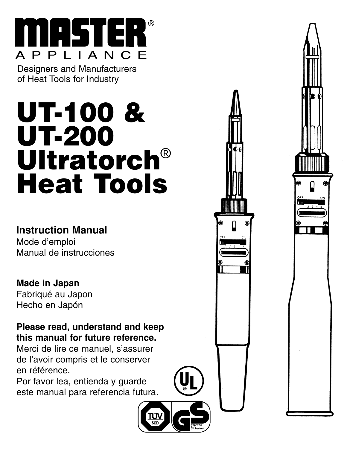

Designers and Manufacturers of Heat Tools for Industry

# **UT-100 & UT-200 Ultratorch**® **Heat Tools**

#### **Instruction Manual**

Mode d'emploi Manual de instrucciones

#### **Made in Japan**

Fabriqué au Japon Hecho en Japón

#### **Please read, understand and keep this manual for future reference.**

Merci de lire ce manuel, s'assurer de l'avoir compris et le conserver en référence.

Por favor lea, entienda y guarde este manual para referencia futura.



**U ® L**

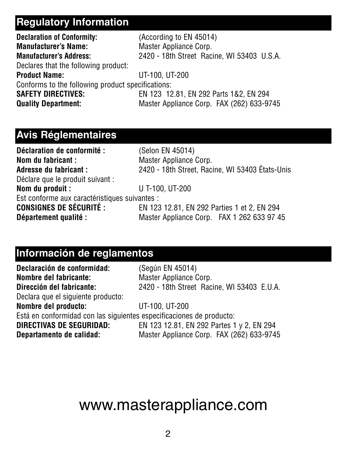### **Regulatory Information**

| (According to EN 45014)                           |  |  |  |
|---------------------------------------------------|--|--|--|
| Master Appliance Corp.                            |  |  |  |
| 2420 - 18th Street Racine, WI 53403 U.S.A.        |  |  |  |
|                                                   |  |  |  |
| UT-100, UT-200                                    |  |  |  |
| Conforms to the following product specifications: |  |  |  |
| EN 123 12.81, EN 292 Parts 1&2, EN 294            |  |  |  |
| Master Appliance Corp. FAX (262) 633-9745         |  |  |  |
|                                                   |  |  |  |

#### **Avis Réglementaires**

| Déclaration de conformité :                   | (Selon EN 45014)                                |  |  |
|-----------------------------------------------|-------------------------------------------------|--|--|
| Nom du fabricant :                            | Master Appliance Corp.                          |  |  |
| Adresse du fabricant :                        | 2420 - 18th Street, Racine, WI 53403 États-Unis |  |  |
| Déclare que le produit suivant :              |                                                 |  |  |
| Nom du produit :                              | U T-100, UT-200                                 |  |  |
| Est conforme aux caractéristiques suivantes : |                                                 |  |  |
| <b>CONSIGNES DE SÉCURITÉ :</b>                | EN 123 12.81, EN 292 Parties 1 et 2, EN 294     |  |  |
| Département qualité :                         | Master Appliance Corp. FAX 1 262 633 97 45      |  |  |

#### **Información de reglamentos**

| Declaración de conformidad:                                          | (Según EN 45014)                           |  |  |
|----------------------------------------------------------------------|--------------------------------------------|--|--|
| Nombre del fabricante:                                               | Master Appliance Corp.                     |  |  |
| Dirección del fabricante:                                            | 2420 - 18th Street Racine, WI 53403 E.U.A. |  |  |
| Declara que el siguiente producto:                                   |                                            |  |  |
| Nombre del producto:                                                 | UT-100, UT-200                             |  |  |
| Está en conformidad con las siguientes especificaciones de producto: |                                            |  |  |
| DIRECTIVAS DE SEGURIDAD:                                             | EN 123 12.81, EN 292 Partes 1 y 2, EN 294  |  |  |
| Departamento de calidad:                                             | Master Appliance Corp. FAX (262) 633-9745  |  |  |

# www.masterappliance.com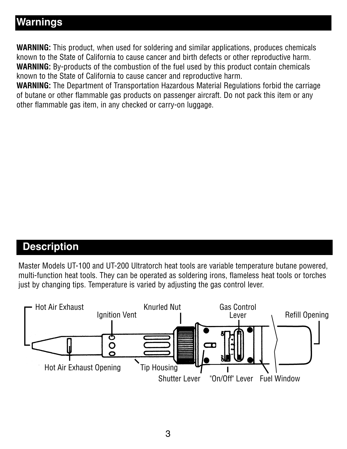#### **Warnings**

**WARNING:** This product, when used for soldering and similar applications, produces chemicals known to the State of California to cause cancer and birth defects or other reproductive harm. **WARNING:** By-products of the combustion of the fuel used by this product contain chemicals known to the State of California to cause cancer and reproductive harm.

**WARNING:** The Department of Transportation Hazardous Material Regulations forbid the carriage of butane or other flammable gas products on passenger aircraft. Do not pack this item or any other flammable gas item, in any checked or carry-on luggage.

#### **Description**

Master Models UT-100 and UT-200 Ultratorch heat tools are variable temperature butane powered, multi-function heat tools. They can be operated as soldering irons, flameless heat tools or torches just by changing tips. Temperature is varied by adjusting the gas control lever.

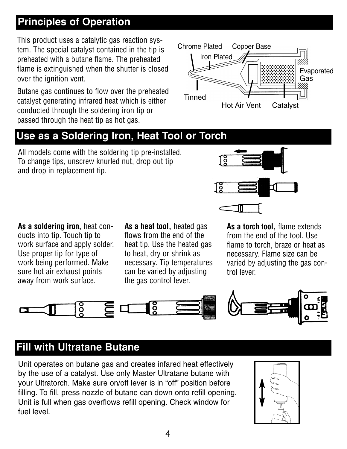#### **Principles of Operation**

This product uses a catalytic gas reaction system. The special catalyst contained in the tip is preheated with a butane flame. The preheated flame is extinguished when the shutter is closed over the ignition vent.

Butane gas continues to flow over the preheated catalyst generating infrared heat which is either conducted through the soldering iron tip or passed through the heat tip as hot gas.



#### **Use as a Soldering Iron, Heat Tool or Torch**

All models come with the soldering tip pre-installed. To change tips, unscrew knurled nut, drop out tip and drop in replacement tip.

**As a soldering iron,** heat conducts into tip. Touch tip to work surface and apply solder. Use proper tip for type of work being performed. Make sure hot air exhaust points away from work surface.

**As a heat tool,** heated gas flows from the end of the heat tip. Use the heated gas to heat, dry or shrink as necessary. Tip temperatures can be varied by adjusting the gas control lever.



**As a torch tool,** flame extends from the end of the tool. Use flame to torch, braze or heat as necessary. Flame size can be varied by adjusting the gas control lever.



#### **Fill with Ultratane Butane**

Unit operates on butane gas and creates infared heat effectively by the use of a catalyst. Use only Master Ultratane butane with your Ultratorch. Make sure on/off lever is in "off" position before filling. To fill, press nozzle of butane can down onto refill opening. Unit is full when gas overflows refill opening. Check window for fuel level.

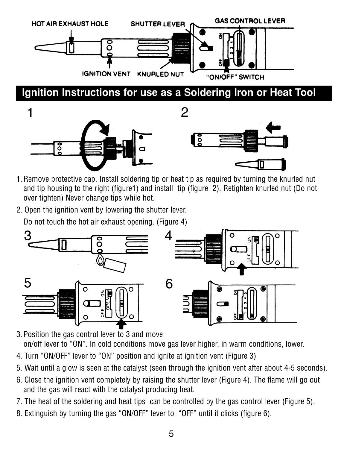



- 1. Remove protective cap. Install soldering tip or heat tip as required by turning the knurled nut and tip housing to the right (figure1) and install tip (figure 2). Retighten knurled nut (Do not over tighten) Never change tips while hot.
- 2. Open the ignition vent by lowering the shutter lever.

Do not touch the hot air exhaust opening. (Figure 4)



- 3. Position the gas control lever to 3 and move on/off lever to "ON". In cold conditions move gas lever higher, in warm conditions, lower.
- 4. Turn "ON/OFF" lever to "ON" position and ignite at ignition vent (Figure 3)
- 5. Wait until a glow is seen at the catalyst (seen through the ignition vent after about 4-5 seconds).
- 6. Close the ignition vent completely by raising the shutter lever (Figure 4). The flame will go out and the gas will react with the catalyst producing heat.
- 7. The heat of the soldering and heat tips can be controlled by the gas control lever (Figure 5).
- 8. Extinguish by turning the gas "ON/OFF" lever to "OFF" until it clicks (figure 6).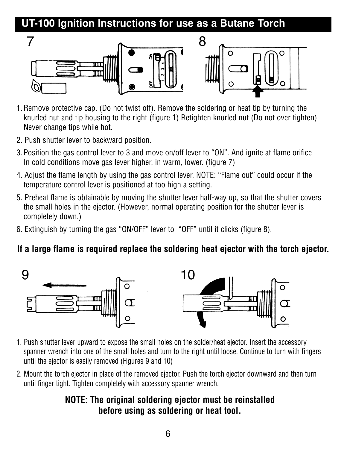#### **UT-100 Ignition Instructions for use as a Butane Torch**



- 1. Remove protective cap. (Do not twist off). Remove the soldering or heat tip by turning the knurled nut and tip housing to the right (figure 1) Retighten knurled nut (Do not over tighten) Never change tips while hot.
- 2. Push shutter lever to backward position.
- 3. Position the gas control lever to 3 and move on/off lever to "ON". And ignite at flame orifice In cold conditions move gas lever higher, in warm, lower, (figure 7)
- 4. Adjust the flame length by using the gas control lever. NOTE: "Flame out" could occur if the temperature control lever is positioned at too high a setting.
- 5. Preheat flame is obtainable by moving the shutter lever half-way up, so that the shutter covers the small holes in the ejector. (However, normal operating position for the shutter lever is completely down.)
- 6. Extinguish by turning the gas "ON/OFF" lever to "OFF" until it clicks (figure 8).

#### **If a large flame is required replace the soldering heat ejector with the torch ejector.**



- 1. Push shutter lever upward to expose the small holes on the solder/heat ejector. Insert the accessory spanner wrench into one of the small holes and turn to the right until loose. Continue to turn with fingers until the ejector is easily removed (Figures 9 and 10)
- 2. Mount the torch ejector in place of the removed ejector. Push the torch ejector downward and then turn until finger tight. Tighten completely with accessory spanner wrench.

#### **NOTE: The original soldering ejector must be reinstalled before using as soldering or heat tool.**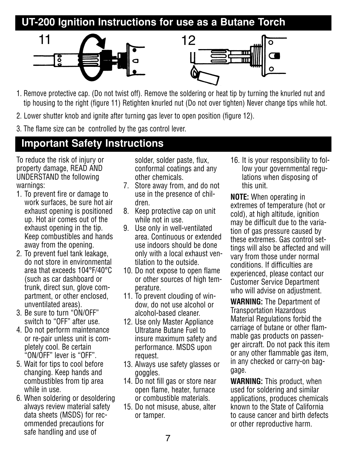#### **UT-200 Ignition Instructions for use as a Butane Torch**





- 1. Remove protective cap. (Do not twist off). Remove the soldering or heat tip by turning the knurled nut and tip housing to the right (figure 11) Retighten knurled nut (Do not over tighten) Never change tips while hot.
- 2. Lower shutter knob and ignite after turning gas lever to open position (figure 12).
- 3. The flame size can be controlled by the gas control lever.

#### **Important Safety Instructions**

To reduce the risk of injury or property damage, READ AND UNDERSTAND the following warnings:

- 1. To prevent fire or damage to work surfaces, be sure hot air exhaust opening is positioned up. Hot air comes out of the exhaust opening in the tip. Keep combustibles and hands away from the opening.
- 2. To prevent fuel tank leakage. do not store in environmental area that exceeds 104°F/40°C (such as car dashboard or trunk, direct sun, glove compartment, or other enclosed, unventilated areas).
- 3. Be sure to turn "ON/OFF" switch to "OFF" after use.
- 4. Do not perform maintenance or re-pair unless unit is completely cool. Be certain "ON/OFF" lever is "OFF".
- 5. Wait for tips to cool before changing. Keep hands and combustibles from tip area while in use.
- 6. When soldering or desoldering always review material safety data sheets (MSDS) for recommended precautions for safe handling and use of

solder, solder paste, flux, conformal coatings and any other chemicals.

- 7. Store away from, and do not use in the presence of children.
- 8. Keep protective cap on unit while not in use.
- 9. Use only in well-ventilated area. Continuous or extended use indoors should be done only with a local exhaust ventilation to the outside.
- 10. Do not expose to open flame or other sources of high temperature.
- 11. To prevent clouding of window, do not use alcohol or alcohol-based cleaner.
- 12. Use only Master Appliance Ultratane Butane Fuel to insure maximum safety and performance. MSDS upon request.
- 13. Always use safety glasses or goggles.
- 14. Do not fill gas or store near open flame, heater, furnace or combustible materials.
- 15. Do not misuse, abuse, alter or tamper.

16. It is your responsibility to follow your governmental regulations when disposing of this unit.

**NOTE:** When operating in extremes of temperature (hot or cold), at high altitude, ignition may be difficult due to the variation of gas pressure caused by these extremes. Gas control settings will also be affected and will vary from those under normal conditions. If difficulties are experienced, please contact our Customer Service Department who will advise on adjustment.

**WARNING:** The Department of Transportation Hazardous Material Regulations forbid the carriage of butane or other flammable gas products on passenger aircraft. Do not pack this item or any other flammable gas item, in any checked or carry-on baggage.

**WARNING:** This product, when used for soldering and similar applications, produces chemicals known to the State of California to cause cancer and birth defects or other reproductive harm.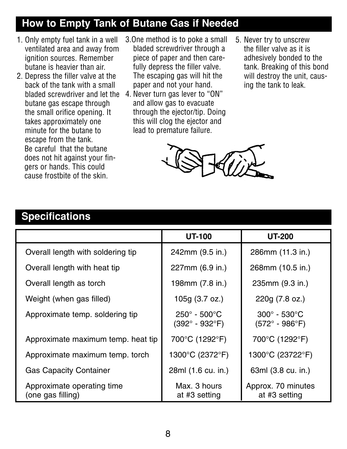#### **How to Empty Tank of Butane Gas if Needed**

- 1. Only empty fuel tank in a well ventilated area and away from ignition sources. Remember butane is heavier than air.
- 2. Depress the filler valve at the back of the tank with a small butane gas escape through the small orifice opening. It takes approximately one minute for the butane to escape from the tank. Be careful that the butane does not hit against your fingers or hands. This could cause frostbite of the skin.
- 3.One method is to poke a small bladed screwdriver through a piece of paper and then carefully depress the filler valve. The escaping gas will hit the paper and not your hand.
- bladed screwdriver and let the 4. Never turn gas lever to "ON" and allow gas to evacuate through the ejector/tip. Doing this will clog the ejector and lead to premature failure.
- 5. Never try to unscrew the filler valve as it is adhesively bonded to the tank. Breaking of this bond will destroy the unit, causing the tank to leak.



#### **Specifications**

|                                                 | UT-100                                                            | <b>UT-200</b>                                                  |
|-------------------------------------------------|-------------------------------------------------------------------|----------------------------------------------------------------|
| Overall length with soldering tip               | 242mm (9.5 in.)                                                   | 286mm (11.3 in.)                                               |
| Overall length with heat tip                    | 227mm (6.9 in.)                                                   | 268mm (10.5 in.)                                               |
| Overall length as torch                         | 198mm (7.8 in.)                                                   | 235mm (9.3 in.)                                                |
| Weight (when gas filled)                        | 105g (3.7 oz.)                                                    | 220g (7.8 oz.)                                                 |
| Approximate temp. soldering tip                 | $250^{\circ}$ - $500^{\circ}$ C<br>$(392^{\circ} - 932^{\circ}F)$ | $300^\circ$ - 530 $^\circ$ C<br>$(572^{\circ} - 986^{\circ}F)$ |
| Approximate maximum temp. heat tip              | 700°C (1292°F)                                                    | 700°C (1292°F)                                                 |
| Approximate maximum temp. torch                 | 1300°C (2372°F)                                                   | 1300°C (23722°F)                                               |
| <b>Gas Capacity Container</b>                   | 28ml (1.6 cu. in.)                                                | 63ml (3.8 cu. in.)                                             |
| Approximate operating time<br>(one gas filling) | Max. 3 hours<br>at #3 setting                                     | Approx. 70 minutes<br>at #3 setting                            |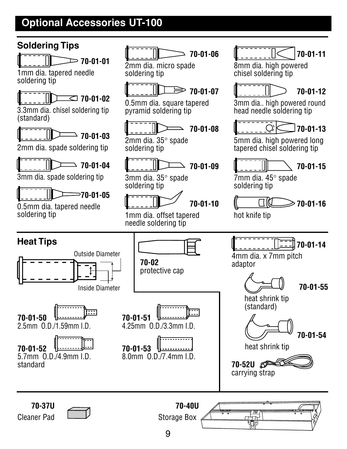#### **Optional Accessories UT-100**



**70-01-01**

1mm dia. tapered needle soldering tip

### **70-01-02**

3.3mm dia. chisel soldering tip (standard)



2mm dia. spade soldering tip

**70-01-04**

3mm dia. spade soldering tip



0.5mm dia. tapered needle soldering tip



2mm dia. micro spade soldering tip



0.5mm dia. square tapered pyramid soldering tip



2mm dia. 35° spade soldering tip



3mm dia. 35° spade soldering tip



1mm dia. offset tapered needle soldering tip



8mm dia. high powered chisel soldering tip



3mm dia.. high powered round head needle soldering tip



5mm dia. high powered long tapered chisel soldering tip



7mm dia. 45° spade soldering tip





9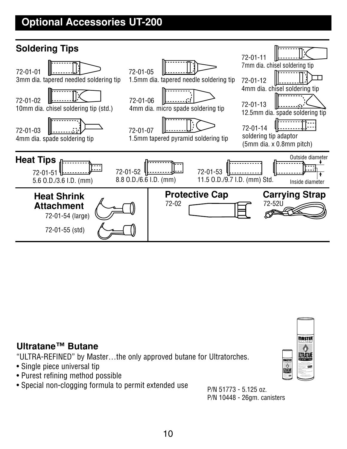#### **Optional Accessories UT-200**



#### **Ultratane™ Butane**

"ULTRA-REFINED" by Master…the only approved butane for Ultratorches.

- Single piece universal tip
- Purest refining method possible
- Special non-clogging formula to permit extended use  $P/N$  51773 5.125 oz.

P/N 10448 - 26gm. canisters

MASTER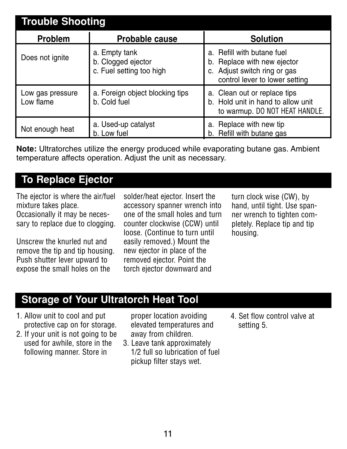| <b>Trouble Shooting</b>       |                                                                 |                                                                                                                             |  |
|-------------------------------|-----------------------------------------------------------------|-----------------------------------------------------------------------------------------------------------------------------|--|
| Problem                       | Probable cause                                                  | <b>Solution</b>                                                                                                             |  |
| Does not ignite               | a. Empty tank<br>b. Clogged ejector<br>c. Fuel setting too high | a. Refill with butane fuel<br>b. Replace with new ejector<br>c. Adjust switch ring or gas<br>control lever to lower setting |  |
| Low gas pressure<br>Low flame | a. Foreign object blocking tips<br>b. Cold fuel                 | a. Clean out or replace tips<br>b. Hold unit in hand to allow unit<br>to warmup. DO NOT HEAT HANDLE.                        |  |
| Not enough heat               | a. Used-up catalyst<br>b. Low fuel                              | a. Replace with new tip<br>b. Refill with butane gas                                                                        |  |

**Note:** Ultratorches utilize the energy produced while evaporating butane gas. Ambient temperature affects operation. Adjust the unit as necessary.

#### **To Replace Ejector**

The ejector is where the air/fuel mixture takes place. Occasionally it may be necessary to replace due to clogging.

Unscrew the knurled nut and remove the tip and tip housing. Push shutter lever upward to expose the small holes on the

solder/heat ejector. Insert the accessory spanner wrench into one of the small holes and turn counter clockwise (CCW) until loose. (Continue to turn until easily removed.) Mount the new ejector in place of the removed ejector. Point the torch ejector downward and

turn clock wise (CW), by hand, until tight. Use spanner wrench to tighten completely. Replace tip and tip housing.

#### **Storage of Your Ultratorch Heat Tool**

- 1. Allow unit to cool and put protective cap on for storage.
- 2. If your unit is not going to be used for awhile, store in the following manner. Store in

proper location avoiding elevated temperatures and away from children.

- 3. Leave tank approximately 1/2 full so lubrication of fuel pickup filter stays wet.
- 4. Set flow control valve at setting 5.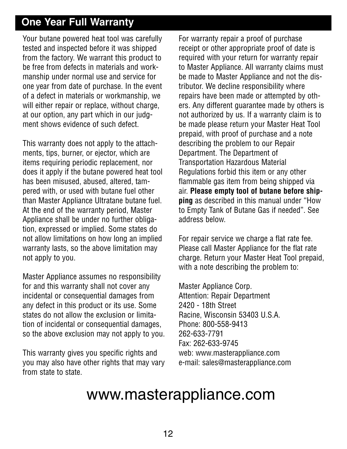#### **One Year Full Warranty**

Your butane powered heat tool was carefully tested and inspected before it was shipped from the factory. We warrant this product to be free from defects in materials and workmanship under normal use and service for one year from date of purchase. In the event of a defect in materials or workmanship, we will either repair or replace, without charge, at our option, any part which in our judgment shows evidence of such defect.

This warranty does not apply to the attachments, tips, burner, or ejector, which are items requiring periodic replacement, nor does it apply if the butane powered heat tool has been misused, abused, altered, tampered with, or used with butane fuel other than Master Appliance Ultratane butane fuel. At the end of the warranty period, Master Appliance shall be under no further obligation, expressed or implied. Some states do not allow limitations on how long an implied warranty lasts, so the above limitation may not apply to you.

Master Appliance assumes no responsibility for and this warranty shall not cover any incidental or consequential damages from any defect in this product or its use. Some states do not allow the exclusion or limitation of incidental or consequential damages, so the above exclusion may not apply to you.

This warranty gives you specific rights and you may also have other rights that may vary from state to state.

For warranty repair a proof of purchase receipt or other appropriate proof of date is required with your return for warranty repair to Master Appliance. All warranty claims must be made to Master Appliance and not the distributor. We decline responsibility where repairs have been made or attempted by others. Any different guarantee made by others is not authorized by us. If a warranty claim is to be made please return your Master Heat Tool prepaid, with proof of purchase and a note describing the problem to our Repair Department. The Department of Transportation Hazardous Material Regulations forbid this item or any other flammable gas item from being shipped via air. **Please empty tool of butane before shipping** as described in this manual under "How to Empty Tank of Butane Gas if needed". See address below.

For repair service we charge a flat rate fee. Please call Master Appliance for the flat rate charge. Return your Master Heat Tool prepaid, with a note describing the problem to:

Master Appliance Corp. Attention: Repair Department 2420 - 18th Street Racine, Wisconsin 53403 U.S.A. Phone: 800-558-9413 262-633-7791 Fax: 262-633-9745 web: www.masterappliance.com e-mail: sales@masterappliance.com

### www.masterappliance.com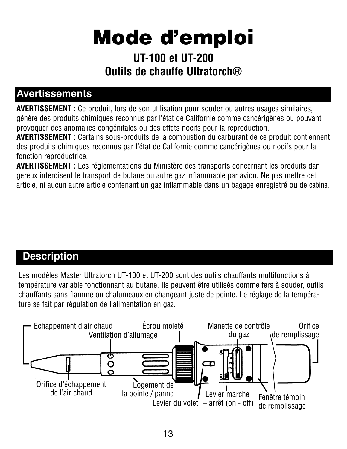# **Mode d'emploi**

#### **UT-100 et UT-200 Outils de chauffe Ultratorch®**

#### **Avertissements**

**AVERTISSEMENT :** Ce produit, lors de son utilisation pour souder ou autres usages similaires, génère des produits chimiques reconnus par l'état de Californie comme cancérigènes ou pouvant provoquer des anomalies congénitales ou des effets nocifs pour la reproduction.

**AVERTISSEMENT :** Certains sous-produits de la combustion du carburant de ce produit contiennent des produits chimiques reconnus par l'état de Californie comme cancérigènes ou nocifs pour la fonction reproductrice.

**AVERTISSEMENT :** Les réglementations du Ministère des transports concernant les produits dangereux interdisent le transport de butane ou autre gaz inflammable par avion. Ne pas mettre cet article, ni aucun autre article contenant un gaz inflammable dans un bagage enregistré ou de cabine.

#### **Description**

Les modèles Master Ultratorch UT-100 et UT-200 sont des outils chauffants multifonctions à température variable fonctionnant au butane. Ils peuvent être utilisés comme fers à souder, outils chauffants sans flamme ou chalumeaux en changeant juste de pointe. Le réglage de la température se fait par régulation de l'alimentation en gaz.

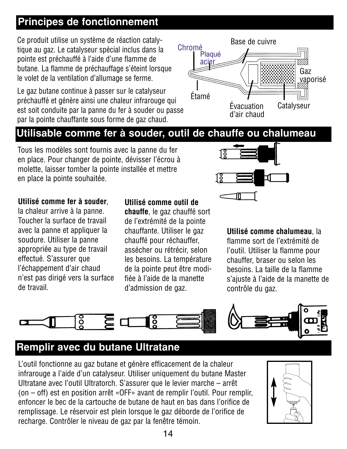#### **Principes de fonctionnement**

Ce produit utilise un système de réaction catalytique au gaz. Le catalyseur spécial inclus dans la pointe est préchauffé à l'aide d'une flamme de butane. La flamme de préchauffage s'éteint lorsque le volet de la ventilation d'allumage se ferme.

Le gaz butane continue à passer sur le catalyseur préchauffé et génère ainsi une chaleur infrarouge qui est soit conduite par la panne du fer à souder ou passe par la pointe chauffante sous forme de gaz chaud.



#### **Utilisable comme fer à souder, outil de chauffe ou chalumeau**

Tous les modèles sont fournis avec la panne du fer en place. Pour changer de pointe, dévisser l'écrou à molette, laisser tomber la pointe installée et mettre en place la pointe souhaitée.



#### **Utilisé comme fer à souder**,

la chaleur arrive à la panne. Toucher la surface de travail avec la panne et appliquer la soudure. Utiliser la panne appropriée au type de travail effectué. S'assurer que l'échappement d'air chaud n'est pas dirigé vers la surface de travail.

#### **Utilisé comme outil de**

**chauffe**, le gaz chauffé sort de l'extrémité de la pointe chauffante. Utiliser le gaz chauffé pour réchauffer, assécher ou rétrécir, selon les besoins. La température de la pointe peut être modifiée à l'aide de la manette d'admission de gaz.

**Utilisé comme chalumeau**, la flamme sort de l'extrémité de l'outil. Utiliser la flamme pour chauffer, braser ou selon les besoins. La taille de la flamme s'ajuste à l'aide de la manette de contrôle du gaz.



#### **Remplir avec du butane Ultratane**

L'outil fonctionne au gaz butane et génère efficacement de la chaleur infrarouge a l'aide d'un catalyseur. Utiliser uniquement du butane Master Ultratane avec l'outil Ultratorch. S'assurer que le levier marche – arrêt (on – off) est en position arrêt «OFF» avant de remplir l'outil. Pour remplir, enfoncer le bec de la cartouche de butane de haut en bas dans l'orifice de remplissage. Le réservoir est plein lorsque le gaz déborde de l'orifice de recharge. Contrôler le niveau de gaz par la fenêtre témoin.

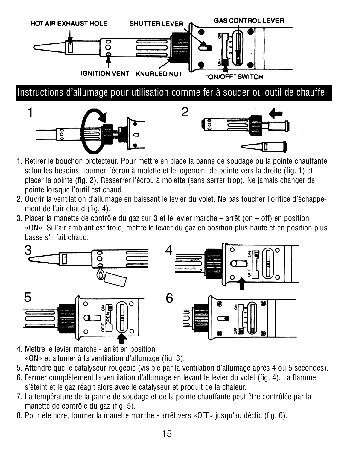

- 1. Retirer le bouchon protecteur. Pour mettre en place la panne de soudage ou la pointe chauffante selon les besoins, tourner l'écrou à molette et le logement de pointe vers la droite (fig. 1) et placer la pointe (fig. 2). Resserrer l'écrou à molette (sans serrer trop). Ne jamais changer de pointe lorsque l'outil est chaud.
- 2. Ouvrir la ventilation d'allumage en baissant le levier du volet. Ne pas toucher l'orifice d'échappement de l'air chaud (fig. 4).
- 3. Placer la manette de contrôle du gaz sur 3 et le levier marche arrêt (on off) en position «ON». Si l'air ambiant est froid, mettre le levier du gaz en position plus haute et en position plus basse s'il fait chaud.



- 4. Mettre le levier marche arrêt en position «ON» et allumer à la ventilation d'allumage (fig. 3).
- 5. Attendre que le catalyseur rougeoie (visible par la ventilation d'allumage après 4 ou 5 secondes).
- 6. Fermer complètement la ventilation d'allumage en levant le levier du volet (fig. 4). La flamme s'éteint et le gaz réagit alors avec le catalyseur et produit de la chaleur.
- 7. La température de la panne de soudage et de la pointe chauffante peut être contrôlée par la manette de contrôle du gaz (fig. 5).
- 8. Pour éteindre, tourner la manette marche arrêt vers «OFF» jusqu'au déclic (fig. 6).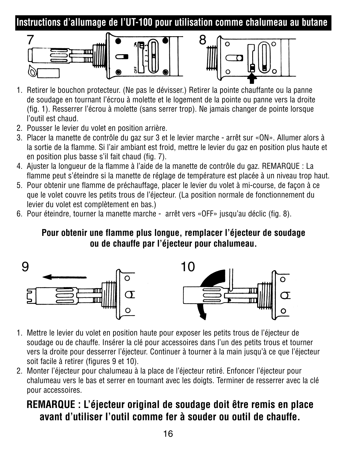**Instructions d'allumage de l'UT-100 pour utilisation comme chalumeau au butane**





- 1. Retirer le bouchon protecteur. (Ne pas le dévisser.) Retirer la pointe chauffante ou la panne de soudage en tournant l'écrou à molette et le logement de la pointe ou panne vers la droite (fig. 1). Resserrer l'écrou à molette (sans serrer trop). Ne jamais changer de pointe lorsque l'outil est chaud.
- 2. Pousser le levier du volet en position arrière.
- 3. Placer la manette de contrôle du gaz sur 3 et le levier marche arrêt sur «ON». Allumer alors à la sortie de la flamme. Si l'air ambiant est froid, mettre le levier du gaz en position plus haute et en position plus basse s'il fait chaud (fig. 7).
- 4. Ajuster la longueur de la flamme à l'aide de la manette de contrôle du gaz. REMARQUE : La flamme peut s'éteindre si la manette de réglage de température est placée à un niveau trop haut.
- 5. Pour obtenir une flamme de préchauffage, placer le levier du volet à mi-course, de façon à ce que le volet couvre les petits trous de l'éjecteur. (La position normale de fonctionnement du levier du volet est complètement en bas.)
- 6. Pour éteindre, tourner la manette marche arrêt vers «OFF» jusqu'au déclic (fig. 8).

#### **Pour obtenir une flamme plus longue, remplacer l'éjecteur de soudage ou de chauffe par l'éjecteur pour chalumeau.**



- 1. Mettre le levier du volet en position haute pour exposer les petits trous de l'éjecteur de soudage ou de chauffe. Insérer la clé pour accessoires dans l'un des petits trous et tourner vers la droite pour desserrer l'éjecteur. Continuer à tourner à la main jusqu'à ce que l'éjecteur soit facile à retirer (figures 9 et 10).
- 2. Monter l'éjecteur pour chalumeau à la place de l'éjecteur retiré. Enfoncer l'éjecteur pour chalumeau vers le bas et serrer en tournant avec les doigts. Terminer de resserrer avec la clé pour accessoires.

#### **REMARQUE : L'éjecteur original de soudage doit être remis en place avant d'utiliser l'outil comme fer à souder ou outil de chauffe.**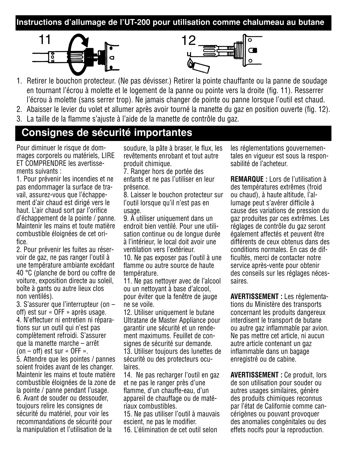#### **Instructions d'allumage de l'UT-200 pour utilisation comme chalumeau au butane**





- 1. Retirer le bouchon protecteur. (Ne pas dévisser.) Retirer la pointe chauffante ou la panne de soudage en tournant l'écrou à molette et le logement de la panne ou pointe vers la droite (fig. 11). Resserrer l'écrou à molette (sans serrer trop). Ne jamais changer de pointe ou panne lorsque l'outil est chaud.
- 2. Abaisser le levier du volet et allumer après avoir tourné la manette du gaz en position ouverte (fig. 12).
- 3. La taille de la flamme s'ajuste à l'aide de la manette de contrôle du gaz.

#### **Consignes de sécurité importantes**

Pour diminuer le risque de dommages corporels ou matériels, LIRE ET COMPRENDRE les avertissements suivants :

1. Pour prévenir les incendies et ne pas endommager la surface de travail, assurez-vous que l'échappement d'air chaud est dirigé vers le haut. L'air chaud sort par l'orifice d'échappement de la pointe / panne. Maintenir les mains et toute matière combustible éloignées de cet orifice.

2. Pour prévenir les fuites au réservoir de gaz, ne pas ranger l'outil à une température ambiante excédant 40 °C (planche de bord ou coffre de voiture, exposition directe au soleil, boîte à gants ou autre lieux clos non ventilés).

3. S'assurer que l'interrupteur (on – off) est sur « OFF » après usage. 4. N'effectuer ni entretien ni réparations sur un outil qui n'est pas complètement refroidi. S'assurer que la manette marche – arrêt (on – off) est sur « OFF ».

5. Attendre que les pointes / pannes soient froides avant de les changer. Maintenir les mains et toute matière combustible éloignées de la zone de la pointe / panne pendant l'usage. 6. Avant de souder ou dessouder, toujours relire les consignes de sécurité du matériel, pour voir les recommandations de sécurité pour la manipulation et l'utilisation de la

soudure, la pâte à braser, le flux, les revêtements enrobant et tout autre produit chimique.

7. Ranger hors de portée des enfants et ne pas l'utiliser en leur présence.

8. Laisser le bouchon protecteur sur l'outil lorsque qu'il n'est pas en usage.

9. À utiliser uniquement dans un endroit bien ventilé. Pour une utilisation continue ou de longue durée à l'intérieur, le local doit avoir une ventilation vers l'extérieur.

10. Ne pas exposer pas l'outil à une flamme ou autre source de haute température.

11. Ne pas nettoyer avec de l'alcool ou un nettoyant à base d'alcool, pour éviter que la fenêtre de jauge ne se voile.

12. Utiliser uniquement le butane Ultratane de Master Appliance pour garantir une sécurité et un rendement maximums. Feuillet de consignes de sécurité sur demande. 13. Utiliser toujours des lunettes de sécurité ou des protecteurs oculaires.

14. Ne pas recharger l'outil en gaz et ne pas le ranger près d'une flamme, d'un chauffe-eau, d'un appareil de chauffage ou de matériaux combustibles.

15. Ne pas utiliser l'outil à mauvais escient, ne pas le modifier.

16. L'élimination de cet outil selon

les réglementations gouvernementales en vigueur est sous la responsabilité de l'acheteur.

**REMARQUE :** Lors de l'utilisation à des températures extrêmes (froid ou chaud), à haute altitude, l'allumage peut s'avérer difficile à cause des variations de pression du gaz produites par ces extrêmes. Les réglages de contrôle du gaz seront également affectés et peuvent être différents de ceux obtenus dans des conditions normales. En cas de difficultés, merci de contacter notre service après-vente pour obtenir des conseils sur les réglages nécessaires.

**AVERTISSEMENT :** Les réglementations du Ministère des transports concernant les produits dangereux interdisent le transport de butane ou autre gaz inflammable par avion. Ne pas mettre cet article, ni aucun autre article contenant un gaz inflammable dans un bagage enregistré ou de cabine.

**AVERTISSEMENT :** Ce produit, lors de son utilisation pour souder ou autres usages similaires, génère des produits chimiques reconnus par l'état de Californie comme cancérigènes ou pouvant provoquer des anomalies congénitales ou des effets nocifs pour la reproduction.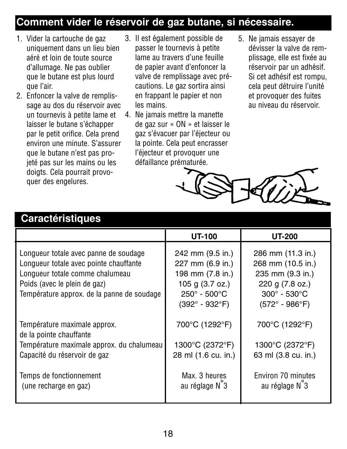#### **Comment vider le réservoir de gaz butane, si nécessaire.**

- 1. Vider la cartouche de gaz uniquement dans un lieu bien aéré et loin de toute source d'allumage. Ne pas oublier que le butane est plus lourd que l'air.
- 2. Enfoncer la valve de remplissage au dos du réservoir avec un tournevis à petite lame et laisser le butane s'échapper par le petit orifice. Cela prend environ une minute. S'assurer que le butane n'est pas projeté pas sur les mains ou les doigts. Cela pourrait provoquer des engelures.
- 3. Il est également possible de passer le tournevis à petite lame au travers d'une feuille de papier avant d'enfoncer la valve de remplissage avec précautions. Le gaz sortira ainsi en frappant le papier et non les mains.
- 4. Ne jamais mettre la manette de gaz sur « ON » et laisser le gaz s'évacuer par l'éjecteur ou la pointe. Cela peut encrasser l'éjecteur et provoquer une défaillance prématurée.
- 5. Ne jamais essayer de dévisser la valve de remplissage, elle est fixée au réservoir par un adhésif. Si cet adhésif est rompu, cela peut détruire l'unité et provoquer des fuites au niveau du réservoir.



#### **Caractéristiques**

|                                                                                                                                                                                                  | UT-100                                                                                                                                         | <b>UT-200</b>                                                                                                                                       |
|--------------------------------------------------------------------------------------------------------------------------------------------------------------------------------------------------|------------------------------------------------------------------------------------------------------------------------------------------------|-----------------------------------------------------------------------------------------------------------------------------------------------------|
| Longueur totale avec panne de soudage<br>Longueur totale avec pointe chauffante<br>Longueur totale comme chalumeau<br>Poids (avec le plein de gaz)<br>Température approx. de la panne de soudage | 242 mm (9.5 in.)<br>227 mm (6.9 in.)<br>198 mm (7.8 in.)<br>105 g (3.7 oz.)<br>$250^{\circ} - 500^{\circ}$ C<br>$(392^{\circ} - 932^{\circ}F)$ | 286 mm (11.3 in.)<br>268 mm (10.5 in.)<br>235 mm (9.3 in.)<br>220 g (7.8 oz.)<br>$300^{\circ}$ - 530 $^{\circ}$ C<br>$(572^{\circ} - 986^{\circ}F)$ |
| Température maximale approx.<br>de la pointe chauffante                                                                                                                                          | 700°C (1292°F)                                                                                                                                 | 700°C (1292°F)                                                                                                                                      |
| Température maximale approx. du chalumeau<br>Capacité du réservoir de gaz                                                                                                                        | 1300°C (2372°F)<br>28 ml (1.6 cu. in.)                                                                                                         | 1300°C (2372°F)<br>63 ml (3.8 cu. in.)                                                                                                              |
| Temps de fonctionnement<br>(une recharge en gaz)                                                                                                                                                 | Max. 3 heures<br>au réglage N°3                                                                                                                | Environ 70 minutes<br>au réglage N°3                                                                                                                |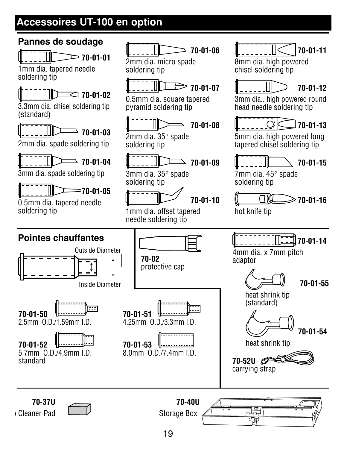#### **Accessoires UT-100 en option**



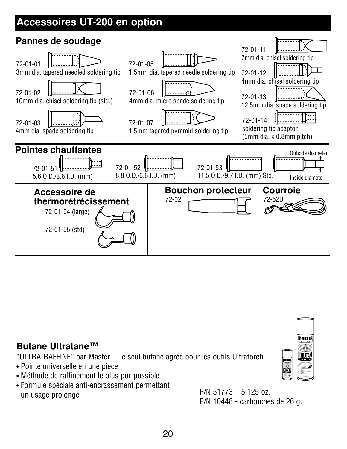#### **Accessoires UT-200 en option**



#### **Butane Ultratane™**

"ULTRA-RAFFINÉ" par Master… le seul butane agréé pour les outils Ultratorch.

- Pointe universelle en une pièce
- Méthode de raffinement le plus pur possible
- Formule spéciale anti-encrassement permettant un usage prolongé P/N 51773 – 5.125 oz.

P/N 10448 - cartouches de 26 g.

inste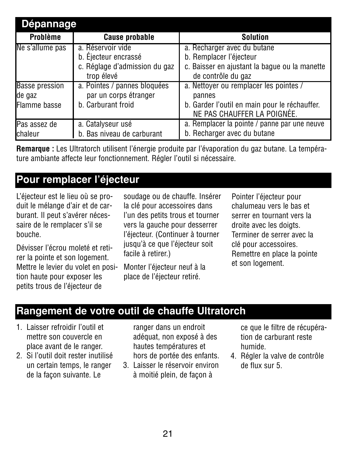| Dépannage             |                               |                                               |  |
|-----------------------|-------------------------------|-----------------------------------------------|--|
| Problème              | <b>Cause probable</b>         | Solution                                      |  |
| Ne s'allume pas       | a. Réservoir vide             | a. Recharger avec du butane                   |  |
|                       | b. Ejecteur encrassé          | b. Remplacer l'éjecteur                       |  |
|                       | c. Réglage d'admission du gaz | c. Baisser en ajustant la baque ou la manette |  |
|                       | trop élevé                    | de contrôle du gaz                            |  |
| <b>Basse pression</b> | a. Pointes / pannes bloquées  | a. Nettoyer ou remplacer les pointes /        |  |
| de gaz                | par un corps étranger         | pannes                                        |  |
| Flamme basse          | b. Carburant froid            | b. Garder l'outil en main pour le réchauffer. |  |
|                       |                               | NE PAS CHAUFFER LA POIGNÉE.                   |  |
| Pas assez de          | a. Catalyseur usé             | a. Remplacer la pointe / panne par une neuve  |  |
| chaleur               | b. Bas niveau de carburant    | b. Recharger avec du butane                   |  |

**Remarque :** Les Ultratorch utilisent l'énergie produite par l'évaporation du gaz butane. La température ambiante affecte leur fonctionnement. Régler l'outil si nécessaire.

#### **Pour remplacer l'éjecteur**

L'éjecteur est le lieu où se produit le mélange d'air et de carburant. Il peut s'avérer nécessaire de le remplacer s'il se bouche.

Dévisser l'écrou moleté et retirer la pointe et son logement. Mettre le levier du volet en position haute pour exposer les petits trous de l'éjecteur de

soudage ou de chauffe. Insérer la clé pour accessoires dans l'un des petits trous et tourner vers la gauche pour desserrer l'éjecteur. (Continuer à tourner jusqu'à ce que l'éjecteur soit facile à retirer.)

Monter l'éjecteur neuf à la place de l'éjecteur retiré.

Pointer l'éjecteur pour chalumeau vers le bas et serrer en tournant vers la droite avec les doigts. Terminer de serrer avec la clé pour accessoires. Remettre en place la pointe et son logement.

#### **Rangement de votre outil de chauffe Ultratorch**

- 1. Laisser refroidir l'outil et mettre son couvercle en place avant de le ranger.
- 2. Si l'outil doit rester inutilisé un certain temps, le ranger de la façon suivante. Le

ranger dans un endroit adéquat, non exposé à des hautes températures et hors de portée des enfants.

3. Laisser le réservoir environ à moitié plein, de façon à

ce que le filtre de récupération de carburant reste humide.

4. Régler la valve de contrôle de flux sur 5.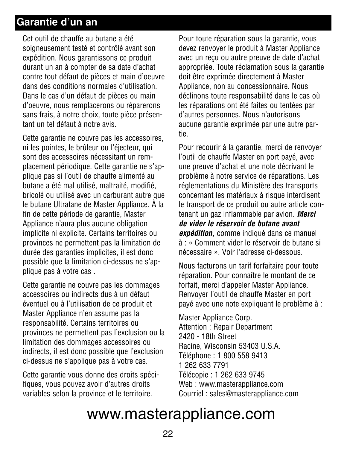#### **Garantie d'un an**

Cet outil de chauffe au butane a été soigneusement testé et contrôlé avant son expédition. Nous garantissons ce produit durant un an à compter de sa date d'achat contre tout défaut de pièces et main d'oeuvre dans des conditions normales d'utilisation. Dans le cas d'un défaut de pièces ou main d'oeuvre, nous remplacerons ou réparerons sans frais, à notre choix, toute pièce présentant un tel défaut à notre avis.

Cette garantie ne couvre pas les accessoires, ni les pointes, le brûleur ou l'éjecteur, qui sont des accessoires nécessitant un remplacement périodique. Cette garantie ne s'applique pas si l'outil de chauffe alimenté au butane a été mal utilisé, maltraité, modifié, bricolé ou utilisé avec un carburant autre que le butane Ultratane de Master Appliance. À la fin de cette période de garantie, Master Appliance n'aura plus aucune obligation implicite ni explicite. Certains territoires ou provinces ne permettent pas la limitation de durée des garanties implicites, il est donc possible que la limitation ci-dessus ne s'applique pas à votre cas .

Cette garantie ne couvre pas les dommages accessoires ou indirects dus à un défaut éventuel ou à l'utilisation de ce produit et Master Appliance n'en assume pas la responsabilité. Certains territoires ou provinces ne permettent pas l'exclusion ou la limitation des dommages accessoires ou indirects, il est donc possible que l'exclusion ci-dessus ne s'applique pas à votre cas.

Cette garantie vous donne des droits spécifiques, vous pouvez avoir d'autres droits variables selon la province et le territoire.

Pour toute réparation sous la garantie, vous devez renvoyer le produit à Master Appliance avec un reçu ou autre preuve de date d'achat appropriée. Toute réclamation sous la garantie doit être exprimée directement à Master Appliance, non au concessionnaire. Nous déclinons toute responsabilité dans le cas où les réparations ont été faites ou tentées par d'autres personnes. Nous n'autorisons aucune garantie exprimée par une autre partie.

Pour recourir à la garantie, merci de renvoyer l'outil de chauffe Master en port payé, avec une preuve d'achat et une note décrivant le problème à notre service de réparations. Les réglementations du Ministère des transports concernant les matériaux à risque interdisent le transport de ce produit ou autre article contenant un gaz inflammable par avion. *Merci de vider le réservoir de butane avant expédition,* comme indiqué dans ce manuel à : « Comment vider le réservoir de butane si nécessaire ». Voir l'adresse ci-dessous.

Nous facturons un tarif forfaitaire pour toute réparation. Pour connaître le montant de ce forfait, merci d'appeler Master Appliance. Renvoyer l'outil de chauffe Master en port payé avec une note expliquant le problème à :

Master Appliance Corp. Attention : Repair Department 2420 - 18th Street Racine, Wisconsin 53403 U.S.A. Téléphone : 1 800 558 9413 1 262 633 7791 Télécopie : 1 262 633 9745 Web : www.masterappliance.com Courriel : sales@masterappliance.com

# www.masterappliance.com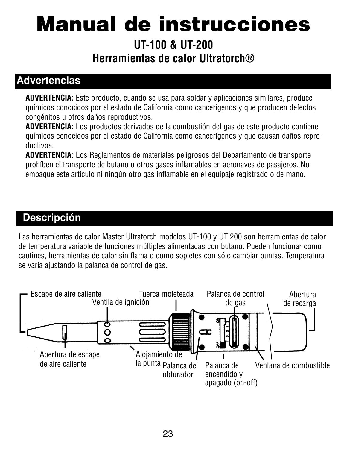# **Manual de instrucciones**

**UT-100 & UT-200 Herramientas de calor Ultratorch®**

#### **Advertencias**

**ADVERTENCIA:** Este producto, cuando se usa para soldar y aplicaciones similares, produce químicos conocidos por el estado de California como cancerígenos y que producen defectos congénitos u otros daños reproductivos.

**ADVERTENCIA:** Los productos derivados de la combustión del gas de este producto contiene químicos conocidos por el estado de California como cancerígenos y que causan daños reproductivos.

**ADVERTENCIA:** Los Reglamentos de materiales peligrosos del Departamento de transporte prohíben el transporte de butano u otros gases inflamables en aeronaves de pasajeros. No empaque este artículo ni ningún otro gas inflamable en el equipaje registrado o de mano.

#### **Descripción**

Las herramientas de calor Master Ultratorch modelos UT-100 y UT 200 son herramientas de calor de temperatura variable de funciones múltiples alimentadas con butano. Pueden funcionar como cautines, herramientas de calor sin flama o como sopletes con sólo cambiar puntas. Temperatura se varía ajustando la palanca de control de gas.

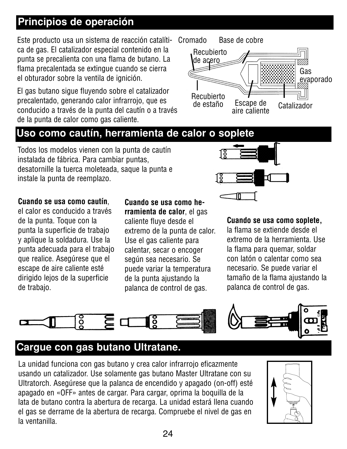#### **Principios de operación**

Este producto usa un sistema de reacción catalítica de gas. El catalizador especial contenido en la punta se precalienta con una flama de butano. La flama precalentada se extingue cuando se cierra el obturador sobre la ventila de ignición.

El gas butano sigue fluyendo sobre el catalizador precalentado, generando calor infrarrojo, que es conducido a través de la punta del cautín o a través de la punta de calor como gas caliente.

#### Cromado Base de cobre



#### **Uso como cautín, herramienta de calor o soplete**

Todos los modelos vienen con la punta de cautín instalada de fábrica. Para cambiar puntas, desatornille la tuerca moleteada, saque la punta e instale la punta de reemplazo.



#### **Cuando se usa como cautín**,

el calor es conducido a través de la punta. Toque con la punta la superficie de trabajo y aplique la soldadura. Use la punta adecuada para el trabajo que realice. Asegúrese que el escape de aire caliente esté dirigido lejos de la superficie de trabajo.

#### **Cuando se usa como herramienta de calor**, el gas caliente fluye desde el extremo de la punta de calor. Use el gas caliente para calentar, secar o encoger según sea necesario. Se puede variar la temperatura

de la punta ajustando la palanca de control de gas.

#### **Cuando se usa como soplete,**

la flama se extiende desde el extremo de la herramienta. Use la flama para quemar, soldar con latón o calentar como sea necesario. Se puede variar el tamaño de la flama ajustando la palanca de control de gas.



#### **Cargue con gas butano Ultratane.**

La unidad funciona con gas butano y crea calor infrarrojo eficazmente usando un catalizador. Use solamente gas butano Master Ultratane con su Ultratorch. Asegúrese que la palanca de encendido y apagado (on-off) esté apagado en «OFF» antes de cargar. Para cargar, oprima la boquilla de la lata de butano contra la abertura de recarga. La unidad estará llena cuando el gas se derrame de la abertura de recarga. Compruebe el nivel de gas en la ventanilla.

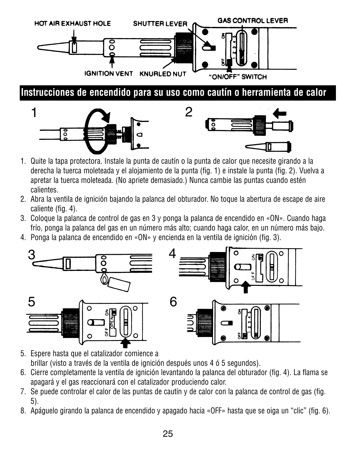

- 1. Quite la tapa protectora. Instale la punta de cautín o la punta de calor que necesite girando a la derecha la tuerca moleteada y el alojamiento de la punta (fig. 1) e instale la punta (fig. 2). Vuelva a apretar la tuerca moleteada. (No apriete demasiado.) Nunca cambie las puntas cuando estén calientes.
- 2. Abra la ventila de ignición bajando la palanca del obturador. No toque la abertura de escape de aire caliente (fig. 4).
- 3. Coloque la palanca de control de gas en 3 y ponga la palanca de encendido en «ON». Cuando haga frío, ponga la palanca del gas en un número más alto; cuando haga calor, en un número más bajo.
- 4. Ponga la palanca de encendido en «ON» y encienda en la ventila de ignición (fig. 3).



- 5. Espere hasta que el catalizador comience a brillar (visto a través de la ventila de ignición después unos 4 ó 5 segundos).
- 6. Cierre completamente la ventila de ignición levantando la palanca del obturador (fig. 4). La flama se apagará y el gas reaccionará con el catalizador produciendo calor.
- 7. Se puede controlar el calor de las puntas de cautín y de calor con la palanca de control de gas (fig. 5).
- 8. Apáguelo girando la palanca de encendido y apagado hacia «OFF» hasta que se oiga un "clic" (fig. 6).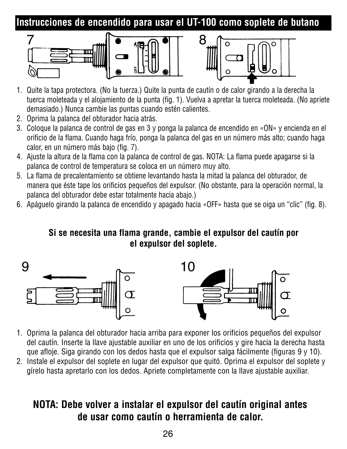**Instrucciones de encendido para usar el UT-100 como soplete de butano**





- 1. Quite la tapa protectora. (No la tuerza.) Quite la punta de cautín o de calor girando a la derecha la tuerca moleteada y el alojamiento de la punta (fig. 1). Vuelva a apretar la tuerca moleteada. (No apriete demasiado.) Nunca cambie las puntas cuando estén calientes.
- 2. Oprima la palanca del obturador hacia atrás.
- 3. Coloque la palanca de control de gas en 3 y ponga la palanca de encendido en «ON» y encienda en el orificio de la flama. Cuando haga frío, ponga la palanca del gas en un número más alto; cuando haga calor, en un número más bajo (fig. 7).
- 4. Ajuste la altura de la flama con la palanca de control de gas. NOTA: La flama puede apagarse si la palanca de control de temperatura se coloca en un número muy alto.
- 5. La flama de precalentamiento se obtiene levantando hasta la mitad la palanca del obturador, de manera que éste tape los orificios pequeños del expulsor. (No obstante, para la operación normal, la palanca del obturador debe estar totalmente hacia abajo.)
- 6. Apáguelo girando la palanca de encendido y apagado hacia «OFF» hasta que se oiga un "clic" (fig. 8).

#### **Si se necesita una flama grande, cambie el expulsor del cautín por el expulsor del soplete.**



- 1. Oprima la palanca del obturador hacia arriba para exponer los orificios pequeños del expulsor del cautín. Inserte la llave ajustable auxiliar en uno de los orificios y gire hacia la derecha hasta que afloje. Siga girando con los dedos hasta que el expulsor salga fácilmente (figuras 9 y 10).
- 2. Instale el expulsor del soplete en lugar del expulsor que quitó. Oprima el expulsor del soplete y gírelo hasta apretarlo con los dedos. Apriete completamente con la llave ajustable auxiliar.

#### **NOTA: Debe volver a instalar el expulsor del cautín original antes de usar como cautín o herramienta de calor.**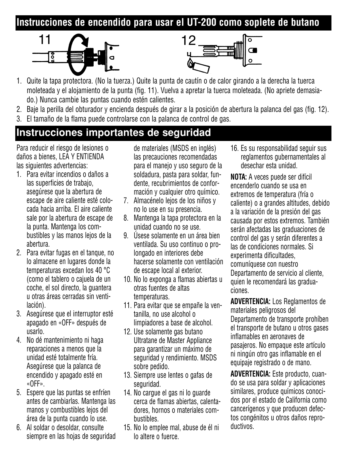#### **Instrucciones de encendido para usar el UT-200 como soplete de butano**





- 1. Quite la tapa protectora. (No la tuerza.) Quite la punta de cautín o de calor girando a la derecha la tuerca moleteada y el alojamiento de la punta (fig. 11). Vuelva a apretar la tuerca moleteada. (No apriete demasiado.) Nunca cambie las puntas cuando estén calientes.
- 2. Baje la perilla del obturador y encienda después de girar a la posición de abertura la palanca del gas (fig. 12).
- 3. El tamaño de la flama puede controlarse con la palanca de control de gas.

#### **Instrucciones importantes de seguridad**

Para reducir el riesgo de lesiones o daños a bienes, LEA Y ENTIENDA las siguientes advertencias:

- 1. Para evitar incendios o daños a las superficies de trabajo, asegúrese que la abertura de escape de aire caliente esté colocada hacia arriba. El aire caliente sale por la abertura de escape de la punta. Mantenga los combustibles y las manos lejos de la abertura.
- 2. Para evitar fugas en el tanque, no lo almacene en lugares donde la temperaturas excedan los 40 °C (como el tablero o cajuela de un coche, el sol directo, la guantera u otras áreas cerradas sin ventilación).
- 3. Asegúrese que el interruptor esté apagado en «OFF» después de usarlo.
- 4. No dé mantenimiento ni haga reparaciones a menos que la unidad esté totalmente fría. Asegúrese que la palanca de encendido y apagado esté en «OFF».
- 5. Espere que las puntas se enfríen antes de cambiarlas. Mantenga las manos y combustibles lejos del área de la punta cuando lo use.
- 6. Al soldar o desoldar, consulte siempre en las hojas de seguridad

de materiales (MSDS en inglés) las precauciones recomendadas para el manejo y uso seguro de la soldadura, pasta para soldar, fundente, recubrimientos de conformación y cualquier otro químico.

- 7. Almacénelo lejos de los niños y no lo use en su presencia.
- 8. Mantenga la tapa protectora en la unidad cuando no se use.
- 9. Úsese solamente en un área bien ventilada. Su uso continuo o prolongado en interiores debe hacerse solamente con ventilación de escape local al exterior.
- 10. No lo exponga a flamas abiertas u otras fuentes de altas temperaturas.
- 11. Para evitar que se empañe la ventanilla, no use alcohol o limpiadores a base de alcohol.
- 12. Use solamente gas butano Ultratane de Master Appliance para garantizar un máximo de seguridad y rendimiento. MSDS sobre pedido.
- 13. Siempre use lentes o gafas de seguridad.
- 14. No cargue el gas ni lo guarde cerca de flamas abiertas, calentadores, hornos o materiales combustibles.
- 15. No lo emplee mal, abuse de él ni lo altere o fuerce.

16. Es su responsabilidad seguir sus reglamentos gubernamentales al desechar esta unidad.

**NOTA:** A veces puede ser difícil encenderlo cuando se usa en extremos de temperatura (fría o caliente) o a grandes altitudes, debido a la variación de la presión del gas causada por estos extremos. También serán afectadas las graduaciones de control del gas y serán diferentes a las de condiciones normales. Si experimenta dificultades, comuníquese con nuestro Departamento de servicio al cliente, quien le recomendará las graduaciones.

**ADVERTENCIA:** Los Reglamentos de materiales peligrosos del Departamento de transporte prohíben el transporte de butano u otros gases inflamables en aeronaves de pasajeros. No empaque este artículo ni ningún otro gas inflamable en el equipaje registrado o de mano.

**ADVERTENCIA:** Este producto, cuando se usa para soldar y aplicaciones similares, produce químicos conocidos por el estado de California como cancerígenos y que producen defectos congénitos u otros daños reproductivos.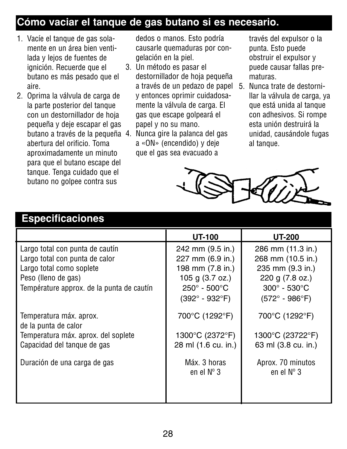#### **Cómo vaciar el tanque de gas butano si es necesario.**

- 1. Vacíe el tanque de gas solamente en un área bien ventilada y lejos de fuentes de ignición. Recuerde que el butano es más pesado que el aire.
- 2. Oprima la válvula de carga de la parte posterior del tanque con un destornillador de hoja pequeña y deje escapar el gas butano a través de la pequeña 4. Nunca gire la palanca del gas abertura del orificio. Toma aproximadamente un minuto para que el butano escape del tanque. Tenga cuidado que el butano no golpee contra sus

dedos o manos. Esto podría causarle quemaduras por congelación en la piel.

- 3. Un método es pasar el destornillador de hoja pequeña a través de un pedazo de papel 5. Nunca trate de destorniy entonces oprimir cuidadosamente la válvula de carga. El gas que escape golpeará el papel y no su mano.
- a «ON» (encendido) y deje que el gas sea evacuado a

través del expulsor o la punta. Esto puede obstruir el expulsor y puede causar fallas prematuras.

llar la válvula de carga, ya que está unida al tanque con adhesivos. Si rompe esta unión destruirá la unidad, causándole fugas al tanque.



#### **Especificaciones**

|                                                 | UT-100                              | <b>UT-200</b>                            |
|-------------------------------------------------|-------------------------------------|------------------------------------------|
| Largo total con punta de cautín                 | 242 mm (9.5 in.)                    | 286 mm (11.3 in.)                        |
| Largo total con punta de calor                  | 227 mm (6.9 in.)                    | 268 mm (10.5 in.)                        |
| Largo total como soplete                        | 198 mm (7.8 in.)                    | 235 mm (9.3 in.)                         |
| Peso (lleno de gas)                             | 105 g (3.7 oz.)                     | 220 g (7.8 oz.)                          |
| Température approx. de la punta de cautín       | $250^{\circ} - 500^{\circ}$ C       | $300^\circ$ - $530^\circ$ C              |
|                                                 | $(392^{\circ} - 932^{\circ}F)$      | $(572^{\circ} - 986^{\circ}F)$           |
| Temperatura máx. aprox.<br>de la punta de calor | 700°C (1292°F)                      | 700°C (1292°F)                           |
| Temperatura máx. aprox. del soplete             | 1300°C (2372°F)                     | 1300°C (23722°F)                         |
| Capacidad del tangue de gas                     | 28 ml (1.6 cu. in.)                 | 63 ml (3.8 cu. in.)                      |
| Duración de una carga de gas                    | Máx. 3 horas<br>en el $N^{\circ}$ 3 | Aprox. 70 minutos<br>en el $N^{\circ}$ 3 |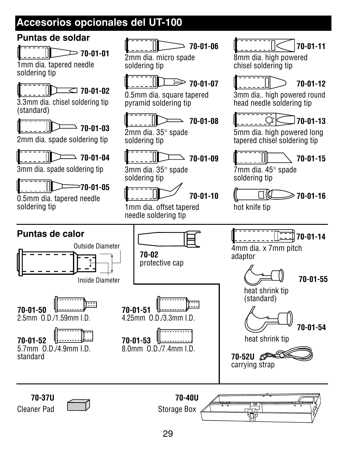### **Accesorios opcionales del UT-100**

#### **Puntas de soldar**

**70-01-01**

1mm dia. tapered needle soldering tip

**70-01-02**

3.3mm dia. chisel soldering tip (standard)

**70-01-03**

2mm dia. spade soldering tip

**70-01-04**

3mm dia. spade soldering tip

**70-01-05**

0.5mm dia. tapered needle soldering tip

**70-01-06**

2mm dia. micro spade soldering tip



0.5mm dia. square tapered pyramid soldering tip



2mm dia. 35° spade soldering tip



3mm dia. 35° spade soldering tip



1mm dia. offset tapered needle soldering tip



8mm dia. high powered chisel soldering tip



3mm dia.. high powered round head needle soldering tip



5mm dia. high powered long tapered chisel soldering tip



7mm dia. 45° spade soldering tip



hot knife tip

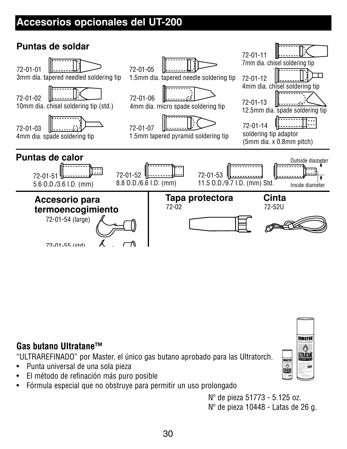### **Accesorios opcionales del UT-200**



#### **Gas butano Ultratane™**

"ULTRAREFINADO" por Master, el único gas butano aprobado para las Ultratorch.

- Punta universal de una sola pieza
- El método de refinación más puro posible
- Fórmula especial que no obstruye para permitir un uso prolongado

Nº de pieza 51773 - 5.125 oz.

Nº de pieza 10448 - Latas de 26 g.

MASTER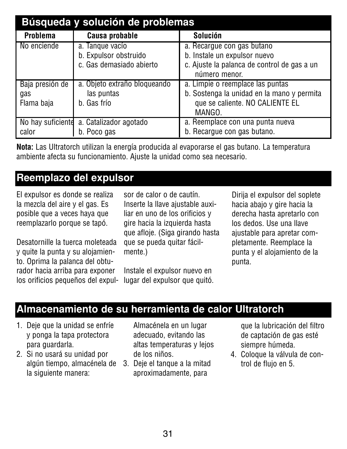| Búsqueda y solución de problemas |                                          |                                                              |  |
|----------------------------------|------------------------------------------|--------------------------------------------------------------|--|
| Problema                         | Causa probable                           | Solución                                                     |  |
| No enciende                      | a. Tangue vacío                          | a. Recarque con gas butano                                   |  |
|                                  | b. Expulsor obstruido                    | b. Instale un expulsor nuevo                                 |  |
|                                  | c. Gas demasiado abierto                 | c. Ajuste la palanca de control de gas a un<br>número menor. |  |
| Baja presión de                  | a. Objeto extraño bloqueando             | a. Limpie o reemplace las puntas                             |  |
| gas                              | las puntas                               | b. Sostenga la unidad en la mano y permita                   |  |
| Flama baja                       | b. Gas frío                              | que se caliente. NO CALIENTE EL                              |  |
|                                  |                                          | MANGO.                                                       |  |
|                                  | No hay suficiente a. Catalizador agotado | a. Reemplace con una punta nueva                             |  |
| calor                            | b. Poco gas                              | b. Recarque con gas butano.                                  |  |

**Nota:** Las Ultratorch utilizan la energía producida al evaporarse el gas butano. La temperatura ambiente afecta su funcionamiento. Ajuste la unidad como sea necesario.

#### **Reemplazo del expulsor**

El expulsor es donde se realiza la mezcla del aire y el gas. Es posible que a veces haya que reemplazarlo porque se tapó.

Desatornille la tuerca moleteada y quite la punta y su alojamiento. Oprima la palanca del obturador hacia arriba para exponer los orificios pequeños del expul-

sor de calor o de cautín. Inserte la llave ajustable auxiliar en uno de los orificios y gire hacia la izquierda hasta que afloje. (Siga girando hasta que se pueda quitar fácilmente.)

Instale el expulsor nuevo en lugar del expulsor que quitó. Dirija el expulsor del soplete hacia abajo y gire hacia la derecha hasta apretarlo con los dedos. Use una llave ajustable para apretar completamente. Reemplace la punta y el alojamiento de la punta.

#### **Almacenamiento de su herramienta de calor Ultratorch**

- 1. Deje que la unidad se enfríe y ponga la tapa protectora para guardarla.
- 2. Si no usará su unidad por algún tiempo, almacénela de la siguiente manera:

Almacénela en un lugar adecuado, evitando las altas temperaturas y lejos de los niños.

3. Deje el tanque a la mitad aproximadamente, para

que la lubricación del filtro de captación de gas esté siempre húmeda.

4. Coloque la válvula de control de flujo en 5.